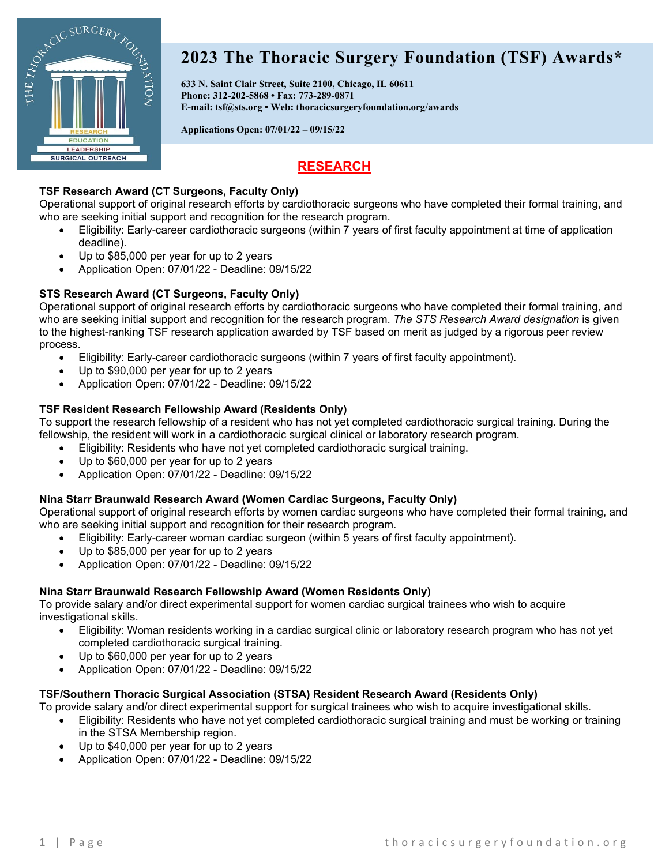

# **2023 The Thoracic Surgery Foundation (TSF) Awards\***

**633 N. Saint Clair Street, Suite 2100, Chicago, IL 60611 Phone: 312-202-5868 • Fax: 773-289-0871 E-mail: [tsf@sts.org](mailto:tsf@sts.org) • Web: [thoracicsurgeryfoundation.org/awards](https://thoracicsurgeryfoundation.org/awards/)**

**Applications Open: 07/01/22 – 09/15/22**

# **RESEARCH**

### **[TSF Research Award](https://thoracicsurgeryfoundation.org/awards/tsf-research-grant/) (CT Surgeons, Faculty Only)**

Operational support of original research efforts by cardiothoracic surgeons who have completed their formal training, and who are seeking initial support and recognition for the research program.

- Eligibility: Early-career cardiothoracic surgeons (within 7 years of first faculty appointment at time of application deadline).
- Up to \$85,000 per year for up to 2 years
- Application Open: 07/01/22 Deadline: 09/15/22

### **[STS Research Award](https://thoracicsurgeryfoundation.org/awards/tsf-research-grant/) (CT Surgeons, Faculty Only)**

Operational support of original research efforts by cardiothoracic surgeons who have completed their formal training, and who are seeking initial support and recognition for the research program. *The STS Research Award designation* is given to the highest-ranking TSF research application awarded by TSF based on merit as judged by a rigorous peer review process.

- Eligibility: Early-career cardiothoracic surgeons (within 7 years of first faculty appointment).
- Up to \$90,000 per year for up to 2 years
- Application Open: 07/01/22 Deadline: 09/15/22

### **TSF [Resident Research Fellowship Award](https://thoracicsurgeryfoundation.org/awards/tsf-research-fellowship/) (Residents Only)**

To support the research fellowship of a resident who has not yet completed cardiothoracic surgical training. During the fellowship, the resident will work in a cardiothoracic surgical clinical or laboratory research program.

• Eligibility: Residents who have not yet completed cardiothoracic surgical training.

- Up to \$60,000 per year for up to 2 years
- Application Open: 07/01/22 Deadline: 09/15/22

#### **[Nina Starr Braunwald Research Award](http://thoracicsurgeryfoundation.org/awards/braunwald-research-grant/) (Women Cardiac Surgeons, Faculty Only)**

Operational support of original research efforts by women cardiac surgeons who have completed their formal training, and who are seeking initial support and recognition for their research program.

- Eligibility: Early-career woman cardiac surgeon (within 5 years of first faculty appointment).
- Up to \$85,000 per year for up to 2 years
- Application Open: 07/01/22 Deadline: 09/15/22

#### **[Nina Starr Braunwald Research Fellowship Award](http://thoracicsurgeryfoundation.org/awards/braunwaldfellowship/) (Women Residents Only)**

To provide salary and/or direct experimental support for women cardiac surgical trainees who wish to acquire investigational skills.

- Eligibility: Woman residents working in a cardiac surgical clinic or laboratory research program who has not yet completed cardiothoracic surgical training.
- Up to \$60,000 per year for up to 2 years
- Application Open: 07/01/22 Deadline: 09/15/22

#### **[TSF/Southern Thoracic Surgical Association \(STSA\) Resident Research Award](https://thoracicsurgeryfoundation.org/tsfstsa/) (Residents Only)**

To provide salary and/or direct experimental support for surgical trainees who wish to acquire investigational skills.

- Eligibility: Residents who have not yet completed cardiothoracic surgical training and must be working or training in the STSA Membership region.
- Up to \$40,000 per year for up to 2 years
- Application Open: 07/01/22 Deadline: 09/15/22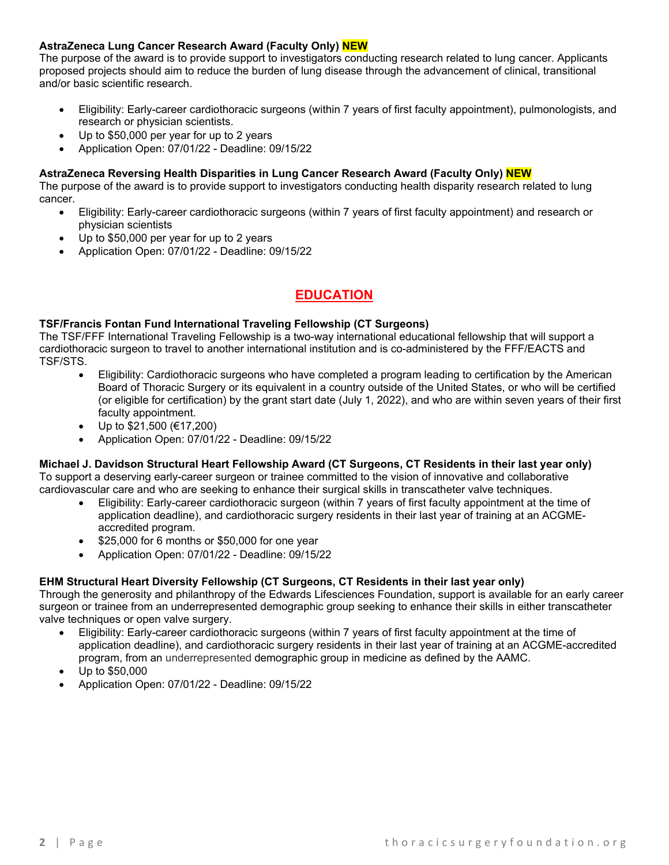#### **AstraZeneca Lung Cancer Research Award (Faculty Only) NEW**

The purpose of the award is to provide support to investigators conducting research related to lung cancer. Applicants proposed projects should aim to reduce the burden of lung disease through the advancement of clinical, transitional and/or basic scientific research.

- Eligibility: Early-career cardiothoracic surgeons (within 7 years of first faculty appointment), pulmonologists, and research or physician scientists.
- Up to \$50,000 per year for up to 2 years
- Application Open: 07/01/22 Deadline: 09/15/22

#### **AstraZeneca Reversing Health Disparities in Lung Cancer Research Award (Faculty Only) NEW**

The purpose of the award is to provide support to investigators conducting health disparity research related to lung cancer.

- Eligibility: Early-career cardiothoracic surgeons (within 7 years of first faculty appointment) and research or physician scientists
- Up to \$50,000 per year for up to 2 years
- Application Open: 07/01/22 Deadline: 09/15/22

# **EDUCATION**

#### **TSF/Francis Fontan Fund [International Traveling Fellowship](https://thoracicsurgeryfoundation.org/francisfontanfund/) (CT Surgeons)**

The TSF/FFF International Traveling Fellowship is a two-way international educational fellowship that will support a cardiothoracic surgeon to travel to another international institution and is co-administered by the FFF/EACTS and TSF/STS.

- Eligibility: Cardiothoracic surgeons who have completed a program leading to certification by the American Board of Thoracic Surgery or its equivalent in a country outside of the United States, or who will be certified (or eligible for certification) by the grant start date (July 1, 2022), and who are within seven years of their first faculty appointment.
- Up to \$21,500 (€17,200)
- Application Open: 07/01/22 Deadline: 09/15/22

#### **[Michael J. Davidson Structural Heart Fellowship Award](http://thoracicsurgeryfoundation.org/davidson/) (CT Surgeons, CT Residents in their last year only)** To support a deserving early-career surgeon or trainee committed to the vision of innovative and collaborative cardiovascular care and who are seeking to enhance their surgical skills in transcatheter valve techniques.

- Eligibility: Early-career cardiothoracic surgeon (within 7 years of first faculty appointment at the time of application deadline), and cardiothoracic surgery residents in their last year of training at an ACGMEaccredited program.
- \$25,000 for 6 months or \$50,000 for one year
- Application Open: 07/01/22 Deadline: 09/15/22

### **[EHM Structural Heart Diversity Fellowship](https://thoracicsurgeryfoundation.org/ehmdiversity/) (CT Surgeons, CT Residents in their last year only)**

Through the generosity and philanthropy of the Edwards Lifesciences Foundation, support is available for an early career surgeon or trainee from an underrepresented demographic group seeking to enhance their skills in either transcatheter valve techniques or open valve surgery.

- Eligibility: Early-career cardiothoracic surgeons (within 7 years of first faculty appointment at the time of application deadline), and cardiothoracic surgery residents in their last year of training at an ACGME-accredited program, from an underrepresented demographic group in medicine as defined by the AAMC.
- Up to \$50,000
- Application Open: 07/01/22 Deadline: 09/15/22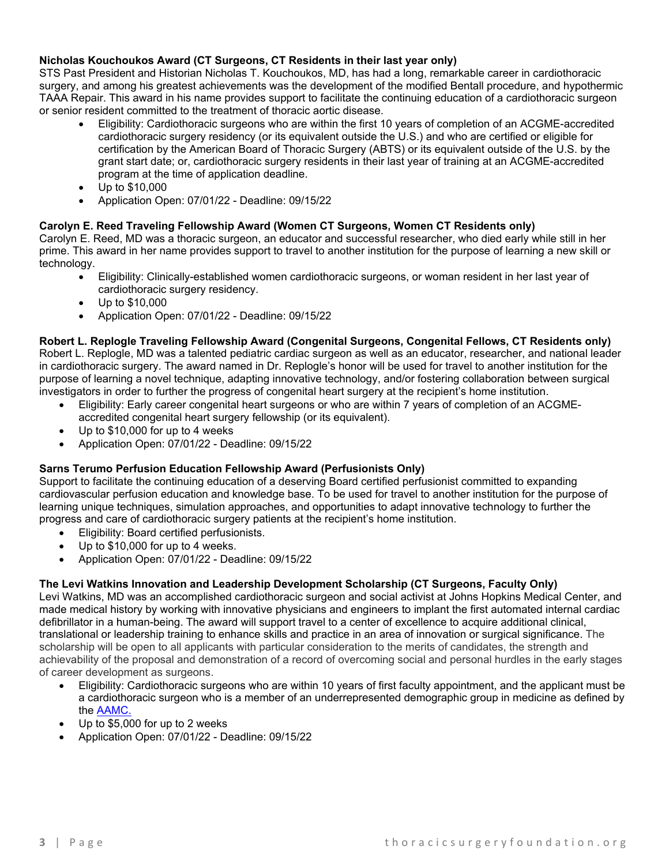#### **[Nicholas Kouchoukos Award](https://thoracicsurgeryfoundation.org/kouchoukos/) (CT Surgeons, CT Residents in their last year only)**

STS Past President and Historian Nicholas T. Kouchoukos, MD, has had a long, remarkable career in cardiothoracic surgery, and among his greatest achievements was the development of the modified Bentall procedure, and hypothermic TAAA Repair. This award in his name provides support to facilitate the continuing education of a cardiothoracic surgeon or senior resident committed to the treatment of thoracic aortic disease.

- Eligibility: Cardiothoracic surgeons who are within the first 10 years of completion of an ACGME-accredited cardiothoracic surgery residency (or its equivalent outside the U.S.) and who are certified or eligible for certification by the American Board of Thoracic Surgery (ABTS) or its equivalent outside of the U.S. by the grant start date; or, cardiothoracic surgery residents in their last year of training at an ACGME-accredited program at the time of application deadline.
- Up to \$10,000
- Application Open: 07/01/22 Deadline: 09/15/22

#### **[Carolyn E. Reed Traveling Fellowship Award](http://thoracicsurgeryfoundation.org/reed/) (Women CT Surgeons, Women CT Residents only)**

Carolyn E. Reed, MD was a thoracic surgeon, an educator and successful researcher, who died early while still in her prime. This award in her name provides support to travel to another institution for the purpose of learning a new skill or technology.

- Eligibility: Clinically-established women cardiothoracic surgeons, or woman resident in her last year of cardiothoracic surgery residency.
- Up to \$10,000
- Application Open: 07/01/22 Deadline: 09/15/22

**[Robert L. Replogle Traveling Fellowship Award](http://thoracicsurgeryfoundation.org/replogle/) (Congenital Surgeons, Congenital Fellows, CT Residents only)** Robert L. Replogle, MD was a talented pediatric cardiac surgeon as well as an educator, researcher, and national leader in cardiothoracic surgery. The award named in Dr. Replogle's honor will be used for travel to another institution for the purpose of learning a novel technique, adapting innovative technology, and/or fostering collaboration between surgical investigators in order to further the progress of congenital heart surgery at the recipient's home institution.

- Eligibility: Early career congenital heart surgeons or who are within 7 years of completion of an ACGMEaccredited congenital heart surgery fellowship (or its equivalent).
- Up to \$10,000 for up to 4 weeks
- Application Open: 07/01/22 Deadline: 09/15/22

#### **[Sarns Terumo Perfusion](http://thoracicsurgeryfoundation.org/sarns-terumo-perfusion-education-fellowship-award/) Education Fellowship Award (Perfusionists Only)**

Support to facilitate the continuing education of a deserving Board certified perfusionist committed to expanding cardiovascular perfusion education and knowledge base. To be used for travel to another institution for the purpose of learning unique techniques, simulation approaches, and opportunities to adapt innovative technology to further the progress and care of cardiothoracic surgery patients at the recipient's home institution.

- Eligibility: Board certified perfusionists.
- Up to \$10,000 for up to 4 weeks.
- Application Open: 07/01/22 Deadline: 09/15/22

#### **[The Levi Watkins Innovation and Leadership Development Scholarship](http://thoracicsurgeryfoundation.org/watkins/) (CT Surgeons, Faculty Only)**

Levi Watkins, MD was an accomplished cardiothoracic surgeon and social activist at Johns Hopkins Medical Center, and made medical history by working with innovative physicians and engineers to implant the first automated internal cardiac defibrillator in a human-being. The award will support travel to a center of excellence to acquire additional clinical, translational or leadership training to enhance skills and practice in an area of innovation or surgical significance. The scholarship will be open to all applicants with particular consideration to the merits of candidates, the strength and achievability of the proposal and demonstration of a record of overcoming social and personal hurdles in the early stages of career development as surgeons.

- Eligibility: Cardiothoracic surgeons who are within 10 years of first faculty appointment, and the applicant must be a cardiothoracic surgeon who is a member of an underrepresented demographic group in medicine as defined by the [AAMC.](https://www.aamc.org/what-we-do/diversity-inclusion/underrepresented-in-medicine)
- Up to \$5,000 for up to 2 weeks
- Application Open: 07/01/22 Deadline: 09/15/22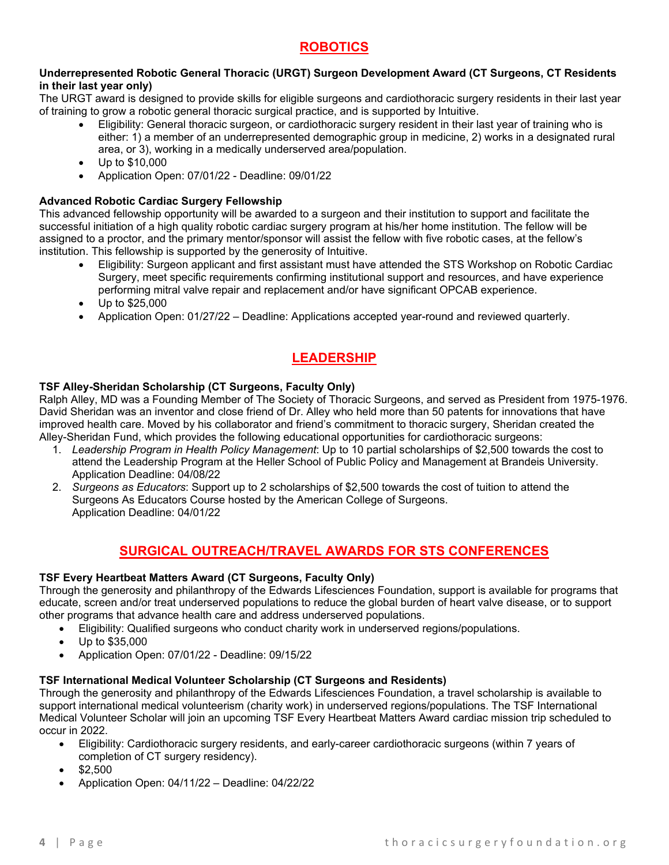# **ROBOTICS**

#### **[Underrepresented Robotic General Thoracic \(URGT\) Surgeon Development Award](https://thoracicsurgeryfoundation.org/urgt/) (CT Surgeons, CT Residents in their last year only)**

The URGT award is designed to provide skills for eligible surgeons and cardiothoracic surgery residents in their last year of training to grow a robotic general thoracic surgical practice, and is supported by Intuitive.

- Eligibility: General thoracic surgeon, or cardiothoracic surgery resident in their last year of training who is either: 1) a member of an underrepresented demographic group in medicine, 2) works in a designated rural area, or 3), working in a medically underserved area/population.
- Up to \$10,000
- Application Open: 07/01/22 Deadline: 09/01/22

#### **[Advanced Robotic Cardiac Surgery Fellowship](https://thoracicsurgeryfoundation.org/roboticcardiacfellowship/)**

This advanced fellowship opportunity will be awarded to a surgeon and their institution to support and facilitate the successful initiation of a high quality robotic cardiac surgery program at his/her home institution. The fellow will be assigned to a proctor, and the primary mentor/sponsor will assist the fellow with five robotic cases, at the fellow's institution. This fellowship is supported by the generosity of Intuitive.

- Eligibility: Surgeon applicant and first assistant must have attended the STS Workshop on Robotic Cardiac Surgery, meet specific requirements confirming institutional support and resources, and have experience performing mitral valve repair and replacement and/or have significant OPCAB experience.
- Up to \$25,000
- Application Open: 01/27/22 Deadline: Applications accepted year-round and reviewed quarterly.

# **LEADERSHIP**

#### **[TSF Alley-Sheridan Scholarship](http://thoracicsurgeryfoundation.org/awards/tsf-alley-sheridan-scholarship/) (CT Surgeons, Faculty Only)**

Ralph Alley, MD was a Founding Member of The Society of Thoracic Surgeons, and served as President from 1975-1976. David Sheridan was an inventor and close friend of Dr. Alley who held more than 50 patents for innovations that have improved health care. Moved by his collaborator and friend's commitment to thoracic surgery, Sheridan created the Alley-Sheridan Fund, which provides the following educational opportunities for cardiothoracic surgeons:

- 1. *Leadership Program in Health Policy Management*: Up to 10 partial scholarships of \$2,500 towards the cost to attend the [Leadership Program at the Heller School of Public Policy and Management at Brandeis University.](http://heller.brandeis.edu/executive-education/programs/leadership-hpm.html) Application Deadline: 04/08/22
- 2. *Surgeons as Educators*: Support up to 2 scholarships of \$2,500 towards the cost of tuition to attend the Surgeons As Educators Course hosted by the American College of Surgeons. Application Deadline: 04/01/22

## **SURGICAL OUTREACH/TRAVEL AWARDS FOR STS CONFERENCES**

#### **TSF [Every Heartbeat Matters Award](http://thoracicsurgeryfoundation.org/awards/edwards/) (CT Surgeons, Faculty Only)**

Through the generosity and philanthropy of the Edwards Lifesciences Foundation, support is available for programs that educate, screen and/or treat underserved populations to reduce the global burden of heart valve disease, or to support other programs that advance health care and address underserved populations.

- Eligibility: Qualified surgeons who conduct charity work in underserved regions/populations.
- Up to \$35,000
- Application Open: 07/01/22 Deadline: 09/15/22

#### **[TSF International Medical Volunteer Scholarship](http://thoracicsurgeryfoundation.org/medicalvolunteer/) (CT Surgeons and Residents)**

Through the generosity and philanthropy of the Edwards Lifesciences Foundation, a travel scholarship is available to support international medical volunteerism (charity work) in underserved regions/populations. The TSF International Medical Volunteer Scholar will join an upcoming TSF Every Heartbeat Matters Award cardiac mission trip scheduled to occur in 2022.

- Eligibility: Cardiothoracic surgery residents, and early-career cardiothoracic surgeons (within 7 years of completion of CT surgery residency).
- \$2,500
- Application Open: 04/11/22 Deadline: 04/22/22